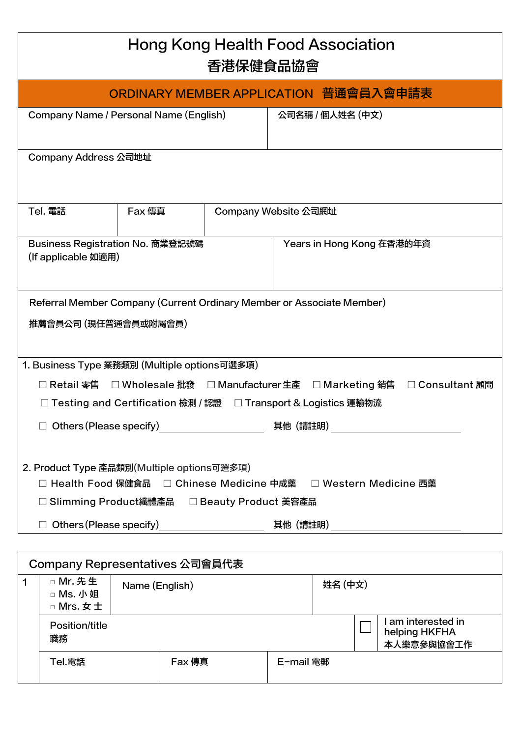| Hong Kong Health Food Association<br>香港保健食品協會                                                                                                                                            |                                                |                      |  |                                                                 |                                |
|------------------------------------------------------------------------------------------------------------------------------------------------------------------------------------------|------------------------------------------------|----------------------|--|-----------------------------------------------------------------|--------------------------------|
|                                                                                                                                                                                          |                                                |                      |  | ORDINARY MEMBER APPLICATION 普通會員入會申請表                           |                                |
| Company Name / Personal Name (English)                                                                                                                                                   |                                                |                      |  | 公司名稱 / 個人姓名 (中文)                                                |                                |
| Company Address 公司地址                                                                                                                                                                     |                                                |                      |  |                                                                 |                                |
| Tel. 電話                                                                                                                                                                                  | <b>Fax 傳真</b>                                  | Company Website 公司網址 |  |                                                                 |                                |
| Business Registration No. 商業登記號碼<br>(If applicable 如適用)                                                                                                                                  |                                                |                      |  | Years in Hong Kong 在香港的年資                                       |                                |
| Referral Member Company (Current Ordinary Member or Associate Member)<br>推薦會員公司 (現任普通會員或附屬會員)                                                                                            |                                                |                      |  |                                                                 |                                |
| 1. Business Type 業務類別 (Multiple options可選多項)                                                                                                                                             |                                                |                      |  |                                                                 |                                |
|                                                                                                                                                                                          | □ Retail 零售  □ Wholesale 批發  □ Manufacturer 生產 |                      |  |                                                                 | □ Marketing 銷售 □ Consultant 顧問 |
| □ Testing and Certification 檢測 / 認證  □ Transport & Logistics 運輸物流                                                                                                                        |                                                |                      |  |                                                                 |                                |
| $\Box$ Others (Please specify) _____________________<br>其他(請註明)<br><u> 1980 - Andrea Station Barbara, politik eta politik eta politik eta politik eta politik eta politik eta politi</u> |                                                |                      |  |                                                                 |                                |
| 2. Product Type 產品類別(Multiple options可選多項)                                                                                                                                               | □ Slimming Product纖體產品 □ Beauty Product 美容產品   |                      |  | □ Health Food 保健食品 □ Chinese Medicine 中成藥 □ Western Medicine 西藥 |                                |
|                                                                                                                                                                                          |                                                |                      |  |                                                                 |                                |

|                      | Company Representatives 公司會員代表    |                |        |           |         |                                                 |
|----------------------|-----------------------------------|----------------|--------|-----------|---------|-------------------------------------------------|
| $\blacktriangleleft$ | □ Mr. 先生<br>□ Ms. 小姐<br>□ Mrs. 女士 | Name (English) |        |           | 姓名 (中文) |                                                 |
|                      | Position/title<br>職務              |                |        |           |         | am interested in<br>helping HKFHA<br>本人樂意參與協會工作 |
|                      | Tel.電話                            |                | Fax 傳真 | E-mail 電郵 |         |                                                 |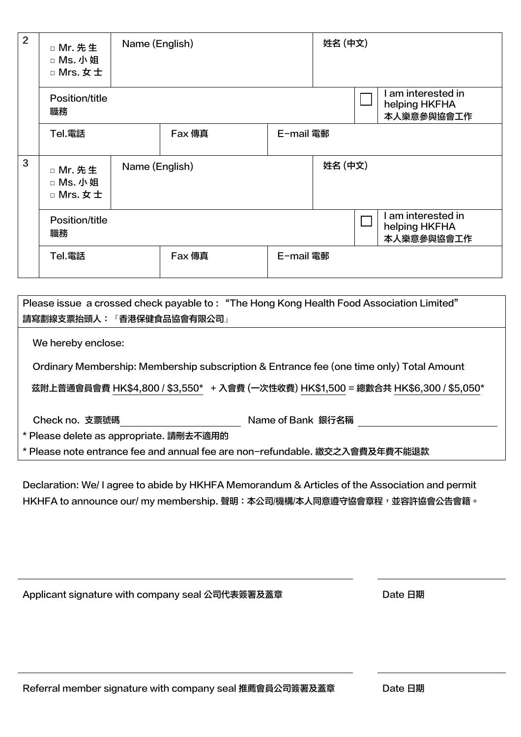| $\overline{2}$ | □ Mr. 先生<br>□ Ms. 小姐<br>□ Mrs. 女士 | Name (English) |               | 姓名 (中文)   |         |  |                                                   |
|----------------|-----------------------------------|----------------|---------------|-----------|---------|--|---------------------------------------------------|
|                | Position/title<br>職務              |                |               |           |         |  | I am interested in<br>helping HKFHA<br>本人樂意參與協會工作 |
|                | Tel.電話                            |                | <b>Fax</b> 傳真 | E-mail 電郵 |         |  |                                                   |
| 3              | □ Mr. 先生<br>□ Ms. 小姐<br>□ Mrs. 女士 | Name (English) |               |           | 姓名 (中文) |  |                                                   |
|                | Position/title<br>職務              |                |               |           |         |  | I am interested in<br>helping HKFHA<br>本人樂意參與協會工作 |
|                | Tel.電話                            |                | <b>Fax</b> 傳真 | E-mail 電郵 |         |  |                                                   |

Please issue a crossed check payable to : "The Hong Kong Health Food Association Limited" 請寫劃線支票抬頭人:『香港保健食品協會有限公司』

We hereby enclose:

Ordinary Membership: Membership subscription & Entrance fee (one time only) Total Amount

茲附上普通會員會費 HK\$4,800 / \$3,550\* + 入會費 (一次性收費) HK\$1,500 = 總數合共 HK\$6,300 / \$5,050\*

Check no. 支票號碼 Name of Bank 銀行名稱

\* Please delete as appropriate. 請刪去不適用的

\* Please note entrance fee and annual fee are non-refundable. 繳交之入會費及年費不能退款

Declaration: We/ I agree to abide by HKHFA Memorandum & Articles of the Association and permit HKHFA to announce our/ my membership. 聲明: 本公司/機構/本人同意遵守協會章程, 並容許協會公告會籍。

Applicant signature with company seal 公司代表簽署及蓋章 Date 日期